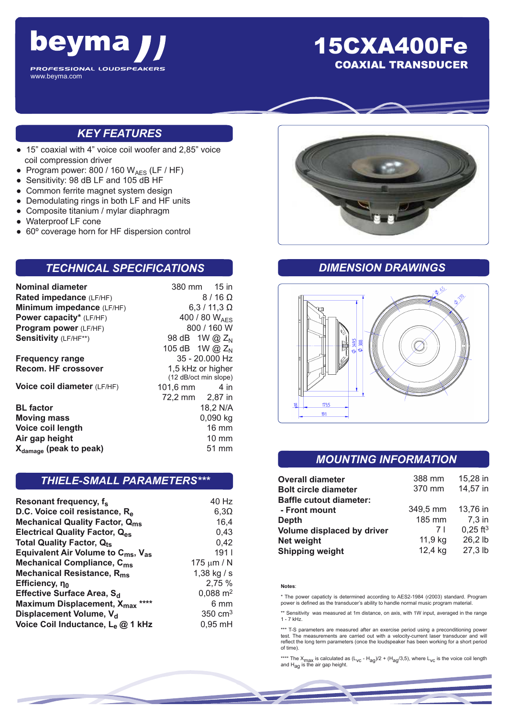

# 15CXA400Fe COAXIAL TRANSDUCER

## *KEY FEATURES*

- 15" coaxial with 4" voice coil woofer and 2,85" voice coil compression driver
- Program power: 800 / 160  $W_{AES}$  (LF / HF)
- Sensitivity: 98 dB LF and 105 dB HF
- Common ferrite magnet system design
- Demodulating rings in both LF and HF units
- Composite titanium / mylar diaphragm
- Waterproof LF cone
- 60° coverage horn for HF dispersion control

### *TECHNICAL SPECIFICATIONS*

| Nominal diameter                   | 380 mm 15 in                               |  |
|------------------------------------|--------------------------------------------|--|
| Rated impedance (LF/HF)            | $8/16 \Omega$                              |  |
| Minimum impedance (LF/HF)          | $6,3/11,3 \Omega$                          |  |
| Power capacity* (LF/HF)            | 400 / 80 WAFS                              |  |
| Program power (LF/HF)              | 800 / 160 W                                |  |
| Sensitivity (LF/HF**)              | 98 dB 1W @ Z <sub>N</sub>                  |  |
|                                    | 105 dB 1W @ $Z_N$                          |  |
| <b>Frequency range</b>             | 35 - 20.000 Hz                             |  |
| <b>Recom. HF crossover</b>         | 1,5 kHz or higher<br>(12 dB/oct min slope) |  |
| Voice coil diameter (LF/HF)        | 101,6 mm<br>4 in                           |  |
|                                    | 72,2 mm 2,87 in                            |  |
| <b>BL</b> factor                   | 18,2 N/A                                   |  |
| <b>Moving mass</b>                 | 0,090 kg                                   |  |
| Voice coil length                  | $16 \text{ mm}$                            |  |
| Air gap height                     | $10 \text{ mm}$                            |  |
| X <sub>damage</sub> (peak to peak) | 51 mm                                      |  |
|                                    |                                            |  |

### *THIELE-SMALL PARAMETERS\*\*\**

| Resonant frequency, f <sub>s</sub>                         | 40 Hz               |
|------------------------------------------------------------|---------------------|
| D.C. Voice coil resistance, R <sub>e</sub>                 | $6,3\Omega$         |
| <b>Mechanical Quality Factor, Qms</b>                      | 16,4                |
| <b>Electrical Quality Factor, Q<sub>es</sub></b>           | 0,43                |
| <b>Total Quality Factor, Qts</b>                           | 0,42                |
| Equivalent Air Volume to C <sub>ms</sub> , V <sub>as</sub> | 191 <sub>1</sub>    |
| Mechanical Compliance, C <sub>ms</sub>                     | 175 $\mu$ m / N     |
| Mechanical Resistance, R <sub>ms</sub>                     | 1,38 kg / s         |
| Efficiency, no                                             | 2,75 %              |
| Effective Surface Area, S <sub>d</sub>                     | $0,088 \text{ m}^2$ |
| Maximum Displacement, X <sub>max</sub> ****                | 6 mm                |
| Displacement Volume, V <sub>d</sub>                        | $350 \text{ cm}^3$  |
| Voice Coil Inductance, Le @ 1 kHz                          | $0,95$ mH           |



## *DIMENSION DRAWINGS*



### *MOUNTING INFORMATION*

| <b>Overall diameter</b>        | 388 mm   | 15,28 in               |
|--------------------------------|----------|------------------------|
| <b>Bolt circle diameter</b>    | 370 mm   | 14,57 in               |
| <b>Baffle cutout diameter:</b> |          |                        |
| - Front mount                  | 349,5 mm | 13,76 in               |
| <b>Depth</b>                   | 185 mm   | 7,3 in                 |
| Volume displaced by driver     | 7 I      | $0,25$ ft <sup>3</sup> |
| <b>Net weight</b>              | 11,9 kg  | 26,2 lb                |
| <b>Shipping weight</b>         | 12,4 kg  | 27,3 lb                |

#### **Notes**:

\* The power capaticty is determined according to AES2-1984 (r2003) standard. Program power is defined as the transducer's ability to handle normal music program material.

\*\* Sensitivity was measured at 1m distance, on axis, with 1W input, averaged in the range 1 - 7 kHz.

\*\*\* T-S parameters are measured after an exercise period using a preconditioning power test. The measurements are carried out with a velocity-current laser transducer and will reflect the long term parameters (once the loudspeaker has been working for a short period of time).

\*\*\*\* The X<sub>max</sub> is calculated as (L<sub>VC</sub> - H<sub>ag</sub>)/2 + (H<sub>ag</sub>/3,5), where L<sub>VC</sub> is the voice coil length<br>and H<sub>ag</sub> is the air gap height.